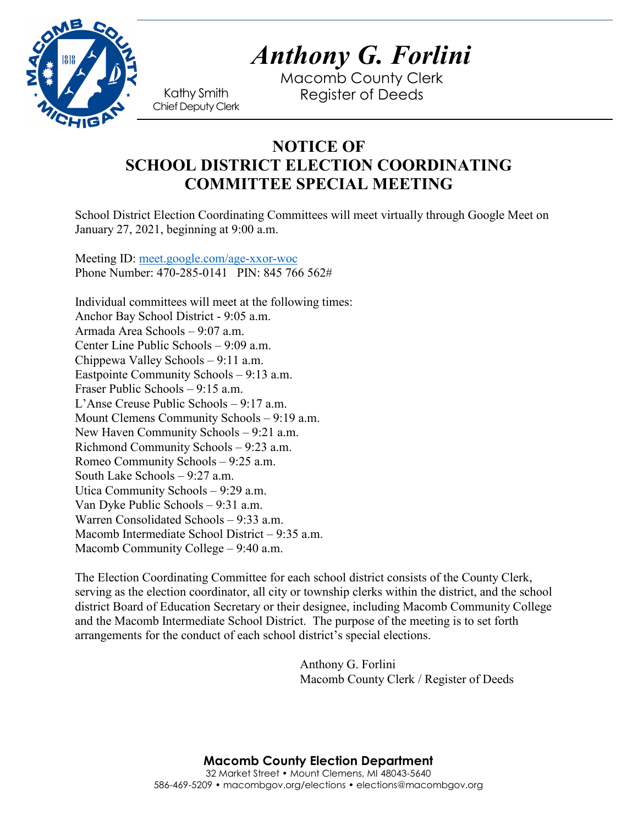

Macomb County Clerk Kathy Smith Register of Deeds<br>Chief Deputy Clerk

## **NOTICE OF SCHOOL DISTRICT ELECTION COORDINATING COMMITTEE SPECIAL MEETING**

School District Election Coordinating Committees will meet virtually through Google Meet on January 27, 2021, beginning at 9:00 a.m.

Meeting ID: [meet.google.com/age-xxor-woc](https://meet.google.com/age-xxor-woc?hs=122&authuser=0) Phone Number: 470-285-0141 PIN: 845 766 562#

Individual committees will meet at the following times: Anchor Bay School District - 9:05 a.m. Armada Area Schools – 9:07 a.m. Center Line Public Schools – 9:09 a.m. Chippewa Valley Schools – 9:11 a.m. Eastpointe Community Schools – 9:13 a.m. Fraser Public Schools – 9:15 a.m. L'Anse Creuse Public Schools – 9:17 a.m. Mount Clemens Community Schools – 9:19 a.m. New Haven Community Schools – 9:21 a.m. Richmond Community Schools – 9:23 a.m. Romeo Community Schools – 9:25 a.m. South Lake Schools – 9:27 a.m. Utica Community Schools – 9:29 a.m. Van Dyke Public Schools – 9:31 a.m. Warren Consolidated Schools – 9:33 a.m. Macomb Intermediate School District – 9:35 a.m. Macomb Community College – 9:40 a.m.

The Election Coordinating Committee for each school district consists of the County Clerk, serving as the election coordinator, all city or township clerks within the district, and the school district Board of Education Secretary or their designee, including Macomb Community College and the Macomb Intermediate School District. The purpose of the meeting is to set forth arrangements for the conduct of each school district's special elections.

> Anthony G. Forlini Macomb County Clerk / Register of Deeds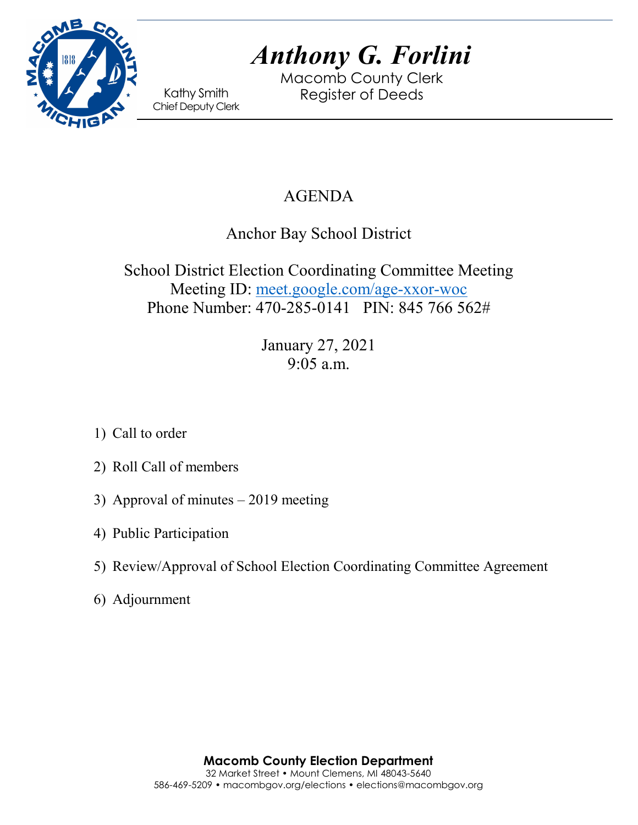

Macomb County Clerk Kathy Smith Register of Deeds<br>Chief Deputy Clerk

# AGENDA

Anchor Bay School District

School District Election Coordinating Committee Meeting Meeting ID: [meet.google.com/age-xxor-woc](https://meet.google.com/age-xxor-woc?hs=122&authuser=0) Phone Number: 470-285-0141 PIN: 845 766 562#

> January 27, 2021 9:05 a.m.

- 1) Call to order
- 2) Roll Call of members
- 3) Approval of minutes 2019 meeting
- 4) Public Participation
- 5) Review/Approval of School Election Coordinating Committee Agreement
- 6) Adjournment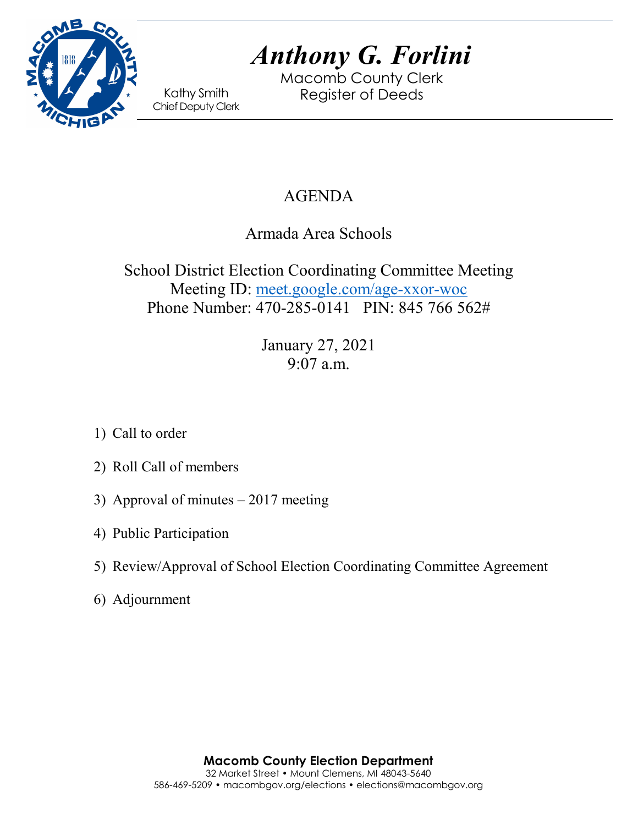

Macomb County Clerk Kathy Smith Register of Deeds<br>Chief Deputy Clerk

# AGENDA

Armada Area Schools

School District Election Coordinating Committee Meeting Meeting ID: [meet.google.com/age-xxor-woc](https://meet.google.com/age-xxor-woc?hs=122&authuser=0) Phone Number: 470-285-0141 PIN: 845 766 562#

> January 27, 2021 9:07 a.m.

- 1) Call to order
- 2) Roll Call of members
- 3) Approval of minutes 2017 meeting
- 4) Public Participation
- 5) Review/Approval of School Election Coordinating Committee Agreement
- 6) Adjournment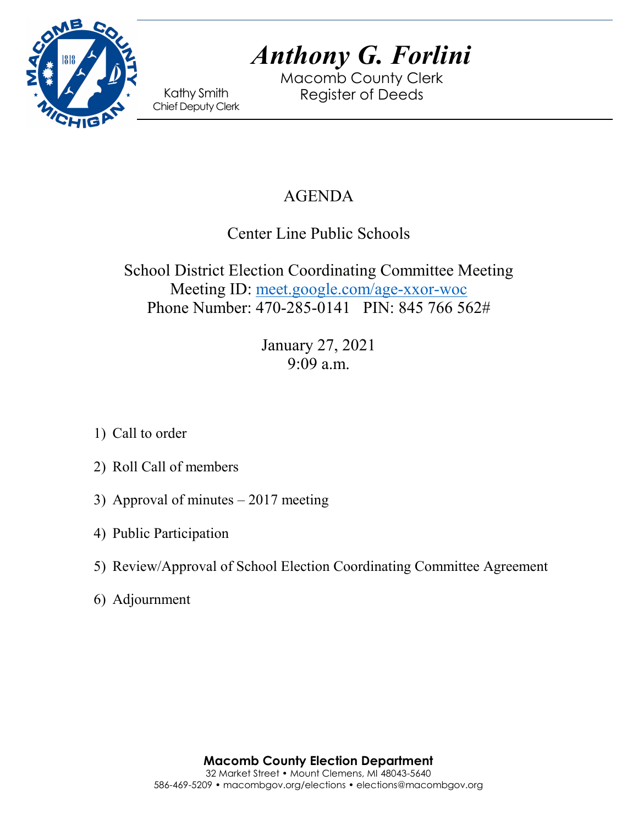

Macomb County Clerk Kathy Smith Register of Deeds<br>Chief Deputy Clerk

# AGENDA

Center Line Public Schools

School District Election Coordinating Committee Meeting Meeting ID: [meet.google.com/age-xxor-woc](https://meet.google.com/age-xxor-woc?hs=122&authuser=0) Phone Number: 470-285-0141 PIN: 845 766 562#

> January 27, 2021 9:09 a.m.

- 1) Call to order
- 2) Roll Call of members
- 3) Approval of minutes 2017 meeting
- 4) Public Participation
- 5) Review/Approval of School Election Coordinating Committee Agreement
- 6) Adjournment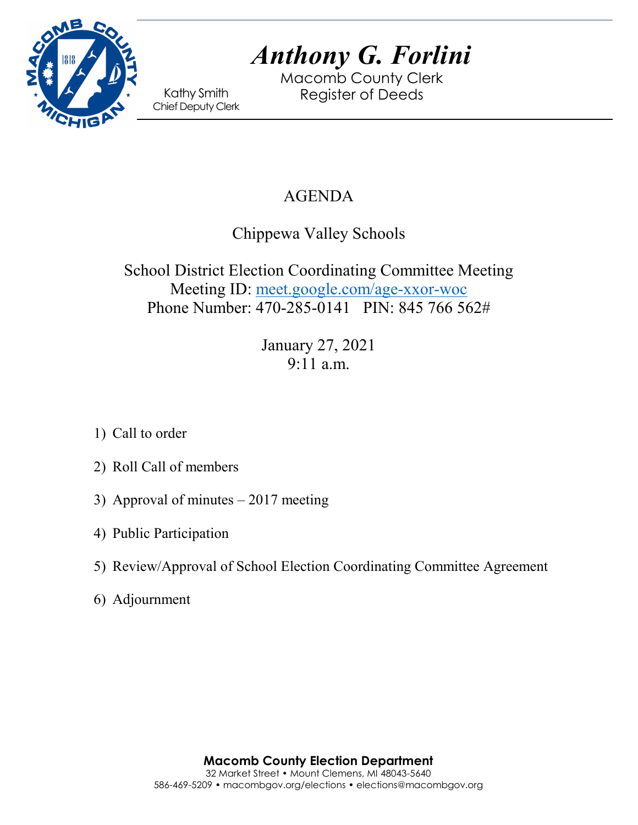

Macomb County Clerk Kathy Smith Register of Deeds<br>Chief Deputy Clerk

## AGENDA

Chippewa Valley Schools

School District Election Coordinating Committee Meeting Meeting ID: [meet.google.com/age-xxor-woc](https://meet.google.com/age-xxor-woc?hs=122&authuser=0) Phone Number: 470-285-0141 PIN: 845 766 562#

> January 27, 2021 9:11 a.m.

- 1) Call to order
- 2) Roll Call of members
- 3) Approval of minutes 2017 meeting
- 4) Public Participation
- 5) Review/Approval of School Election Coordinating Committee Agreement
- 6) Adjournment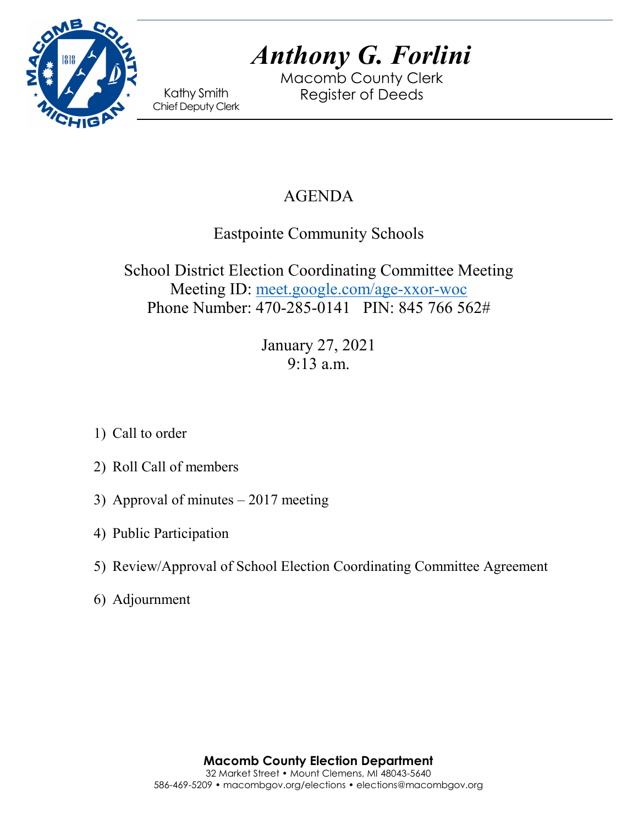

Macomb County Clerk Kathy Smith Register of Deeds<br>Chief Deputy Clerk

## AGENDA

Eastpointe Community Schools

School District Election Coordinating Committee Meeting Meeting ID: [meet.google.com/age-xxor-woc](https://meet.google.com/age-xxor-woc?hs=122&authuser=0) Phone Number: 470-285-0141 PIN: 845 766 562#

> January 27, 2021 9:13 a.m.

- 1) Call to order
- 2) Roll Call of members
- 3) Approval of minutes 2017 meeting
- 4) Public Participation
- 5) Review/Approval of School Election Coordinating Committee Agreement
- 6) Adjournment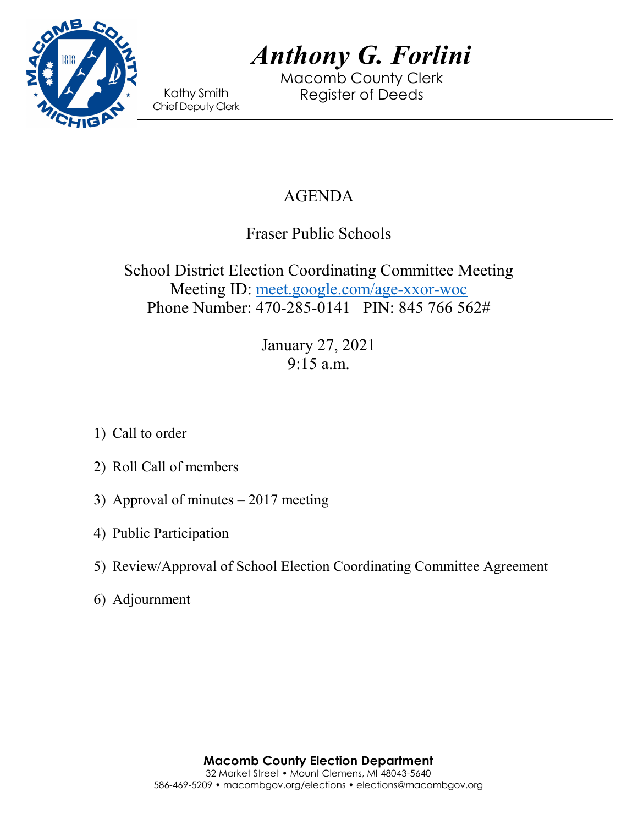

Macomb County Clerk Kathy Smith Register of Deeds<br>Chief Deputy Clerk

# AGENDA

Fraser Public Schools

School District Election Coordinating Committee Meeting Meeting ID: [meet.google.com/age-xxor-woc](https://meet.google.com/age-xxor-woc?hs=122&authuser=0) Phone Number: 470-285-0141 PIN: 845 766 562#

> January 27, 2021 9:15 a.m.

- 1) Call to order
- 2) Roll Call of members
- 3) Approval of minutes 2017 meeting
- 4) Public Participation
- 5) Review/Approval of School Election Coordinating Committee Agreement
- 6) Adjournment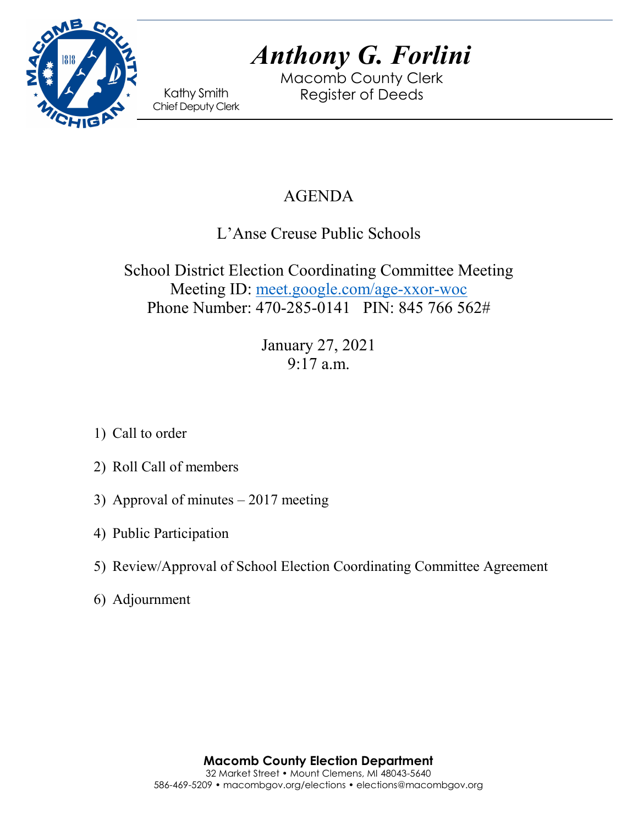

Macomb County Clerk Kathy Smith Register of Deeds<br>Chief Deputy Clerk

## AGENDA

L'Anse Creuse Public Schools

School District Election Coordinating Committee Meeting Meeting ID: [meet.google.com/age-xxor-woc](https://meet.google.com/age-xxor-woc?hs=122&authuser=0) Phone Number: 470-285-0141 PIN: 845 766 562#

> January 27, 2021 9:17 a.m.

- 1) Call to order
- 2) Roll Call of members
- 3) Approval of minutes 2017 meeting
- 4) Public Participation
- 5) Review/Approval of School Election Coordinating Committee Agreement
- 6) Adjournment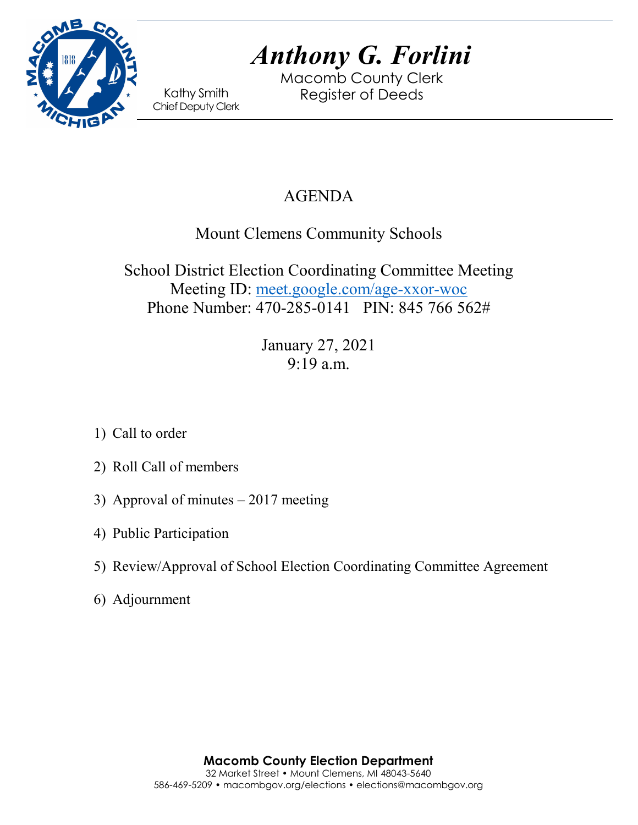

Macomb County Clerk Kathy Smith Register of Deeds<br>Chief Deputy Clerk

## AGENDA

## Mount Clemens Community Schools

School District Election Coordinating Committee Meeting Meeting ID: [meet.google.com/age-xxor-woc](https://meet.google.com/age-xxor-woc?hs=122&authuser=0) Phone Number: 470-285-0141 PIN: 845 766 562#

> January 27, 2021 9:19 a.m.

- 1) Call to order
- 2) Roll Call of members
- 3) Approval of minutes 2017 meeting
- 4) Public Participation
- 5) Review/Approval of School Election Coordinating Committee Agreement
- 6) Adjournment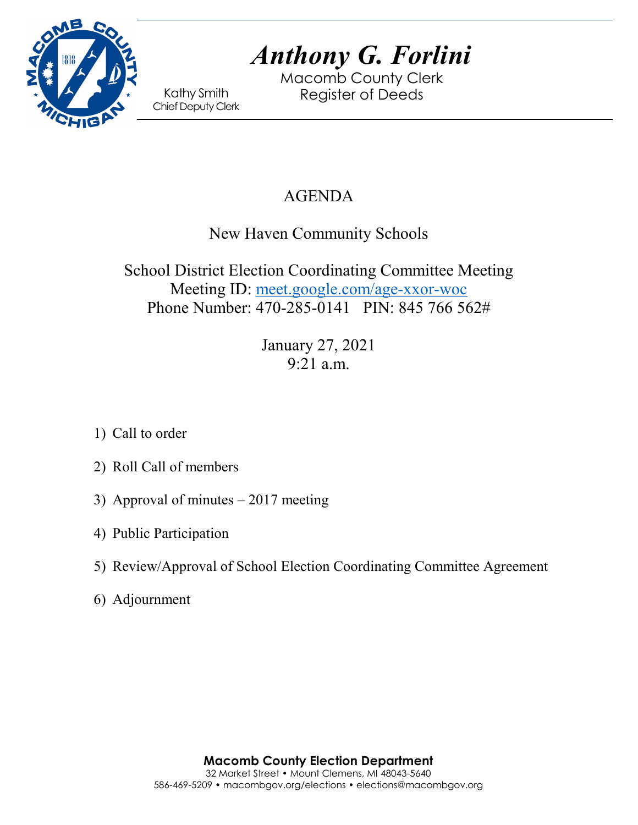

Macomb County Clerk Kathy Smith Register of Deeds<br>Chief Deputy Clerk

# AGENDA

New Haven Community Schools

School District Election Coordinating Committee Meeting Meeting ID: [meet.google.com/age-xxor-woc](https://meet.google.com/age-xxor-woc?hs=122&authuser=0) Phone Number: 470-285-0141 PIN: 845 766 562#

> January 27, 2021 9:21 a.m.

- 1) Call to order
- 2) Roll Call of members
- 3) Approval of minutes 2017 meeting
- 4) Public Participation
- 5) Review/Approval of School Election Coordinating Committee Agreement
- 6) Adjournment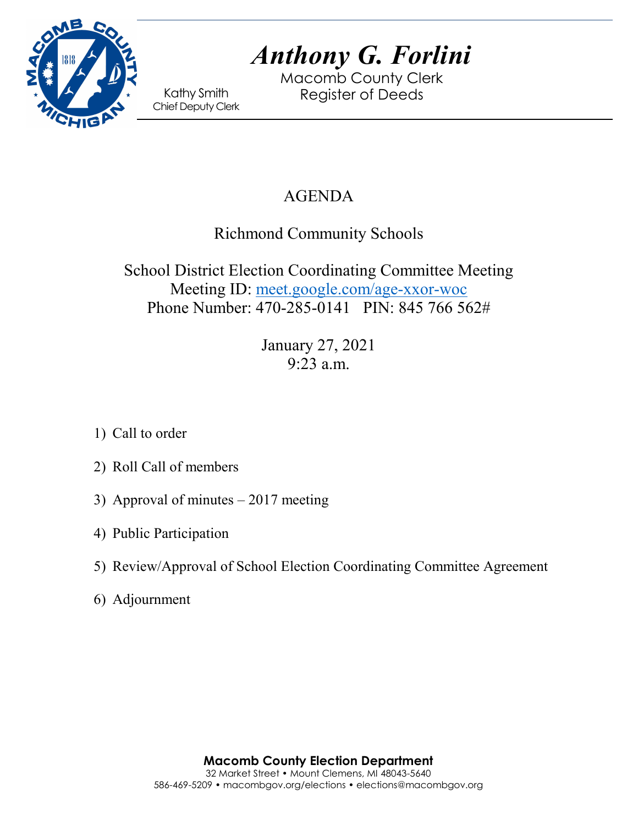

Macomb County Clerk Kathy Smith Register of Deeds<br>Chief Deputy Clerk

## AGENDA

Richmond Community Schools

School District Election Coordinating Committee Meeting Meeting ID: [meet.google.com/age-xxor-woc](https://meet.google.com/age-xxor-woc?hs=122&authuser=0) Phone Number: 470-285-0141 PIN: 845 766 562#

> January 27, 2021 9:23 a.m.

- 1) Call to order
- 2) Roll Call of members
- 3) Approval of minutes 2017 meeting
- 4) Public Participation
- 5) Review/Approval of School Election Coordinating Committee Agreement
- 6) Adjournment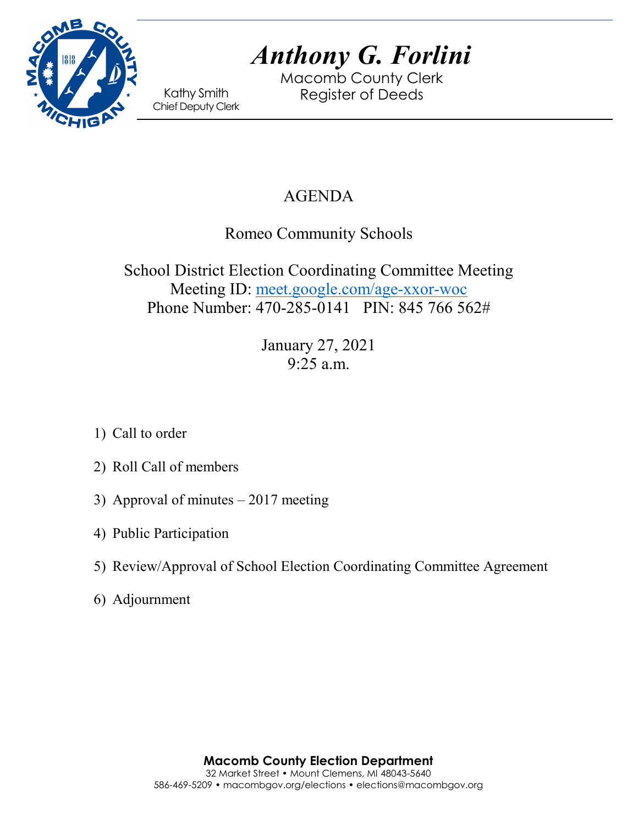

Macomb County Clerk Kathy Smith Register of Deeds<br>Chief Deputy Clerk

# AGENDA

Romeo Community Schools

School District Election Coordinating Committee Meeting Meeting ID: [meet.google.com/age-xxor-woc](https://meet.google.com/age-xxor-woc?hs=122&authuser=0) Phone Number: 470-285-0141 PIN: 845 766 562#

> January 27, 2021 9:25 a.m.

- 1) Call to order
- 2) Roll Call of members
- 3) Approval of minutes 2017 meeting
- 4) Public Participation
- 5) Review/Approval of School Election Coordinating Committee Agreement
- 6) Adjournment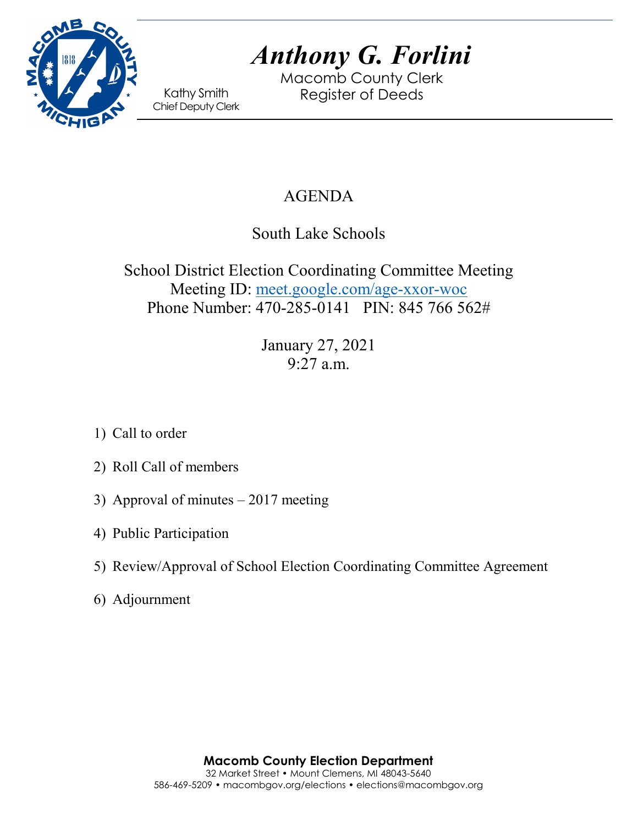

Macomb County Clerk Kathy Smith Register of Deeds<br>Chief Deputy Clerk

# AGENDA

South Lake Schools

School District Election Coordinating Committee Meeting Meeting ID: [meet.google.com/age-xxor-woc](https://meet.google.com/age-xxor-woc?hs=122&authuser=0) Phone Number: 470-285-0141 PIN: 845 766 562#

> January 27, 2021 9:27 a.m.

- 1) Call to order
- 2) Roll Call of members
- 3) Approval of minutes 2017 meeting
- 4) Public Participation
- 5) Review/Approval of School Election Coordinating Committee Agreement
- 6) Adjournment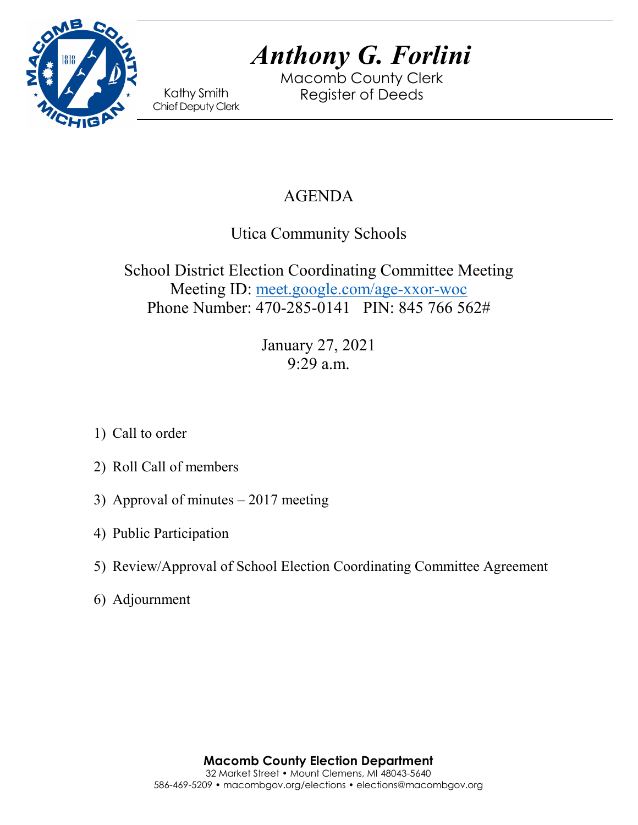

Macomb County Clerk Kathy Smith Register of Deeds<br>Chief Deputy Clerk

# AGENDA

Utica Community Schools

School District Election Coordinating Committee Meeting Meeting ID: [meet.google.com/age-xxor-woc](https://meet.google.com/age-xxor-woc?hs=122&authuser=0) Phone Number: 470-285-0141 PIN: 845 766 562#

> January 27, 2021 9:29 a.m.

- 1) Call to order
- 2) Roll Call of members
- 3) Approval of minutes 2017 meeting
- 4) Public Participation
- 5) Review/Approval of School Election Coordinating Committee Agreement
- 6) Adjournment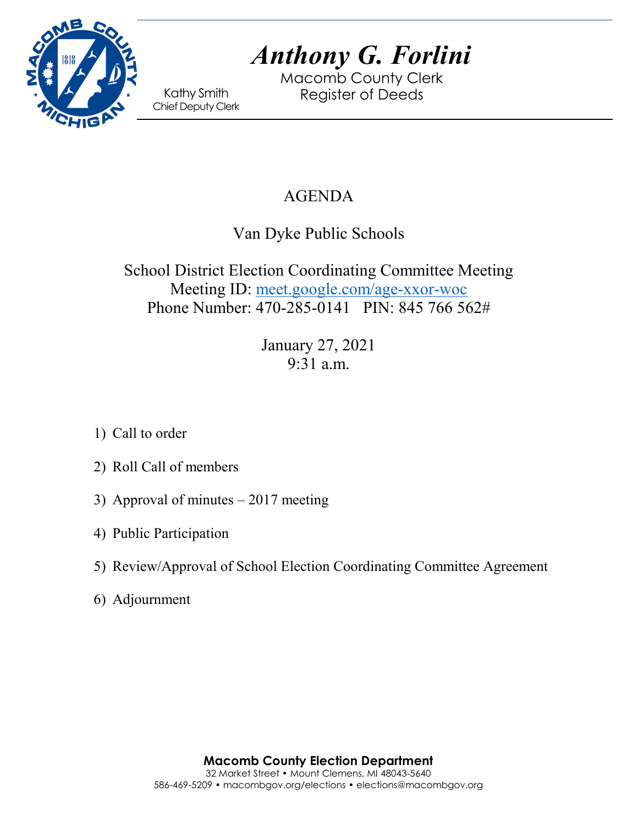

Macomb County Clerk Kathy Smith Register of Deeds<br>Chief Deputy Clerk

# AGENDA

Van Dyke Public Schools

School District Election Coordinating Committee Meeting Meeting ID: [meet.google.com/age-xxor-woc](https://meet.google.com/age-xxor-woc?hs=122&authuser=0) Phone Number: 470-285-0141 PIN: 845 766 562#

> January 27, 2021 9:31 a.m.

- 1) Call to order
- 2) Roll Call of members
- 3) Approval of minutes 2017 meeting
- 4) Public Participation
- 5) Review/Approval of School Election Coordinating Committee Agreement
- 6) Adjournment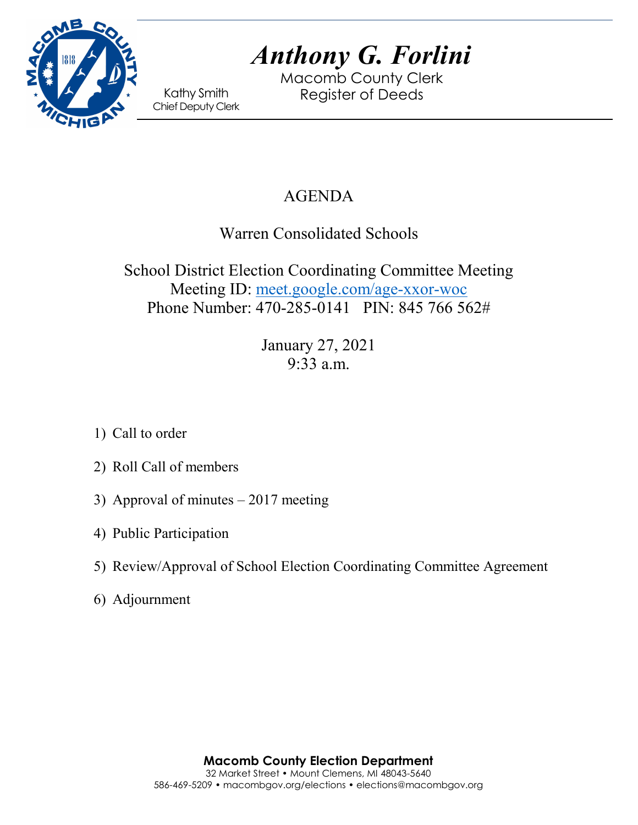

Macomb County Clerk Kathy Smith Register of Deeds<br>Chief Deputy Clerk

# AGENDA

Warren Consolidated Schools

School District Election Coordinating Committee Meeting Meeting ID: [meet.google.com/age-xxor-woc](https://meet.google.com/age-xxor-woc?hs=122&authuser=0) Phone Number: 470-285-0141 PIN: 845 766 562#

> January 27, 2021 9:33 a.m.

- 1) Call to order
- 2) Roll Call of members
- 3) Approval of minutes 2017 meeting
- 4) Public Participation
- 5) Review/Approval of School Election Coordinating Committee Agreement
- 6) Adjournment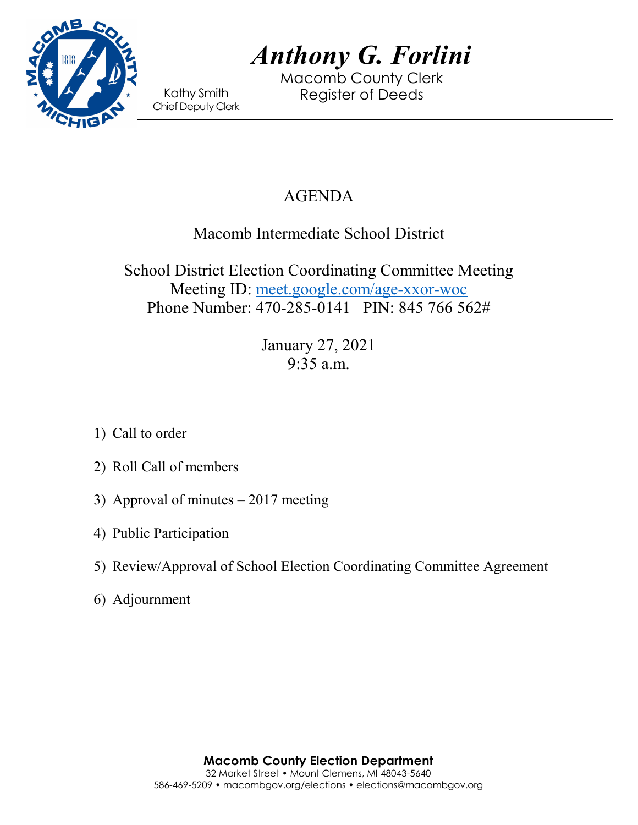

Macomb County Clerk Kathy Smith Register of Deeds<br>Chief Deputy Clerk

# AGENDA

## Macomb Intermediate School District

School District Election Coordinating Committee Meeting Meeting ID: [meet.google.com/age-xxor-woc](https://meet.google.com/age-xxor-woc?hs=122&authuser=0) Phone Number: 470-285-0141 PIN: 845 766 562#

> January 27, 2021 9:35 a.m.

- 1) Call to order
- 2) Roll Call of members
- 3) Approval of minutes 2017 meeting
- 4) Public Participation
- 5) Review/Approval of School Election Coordinating Committee Agreement
- 6) Adjournment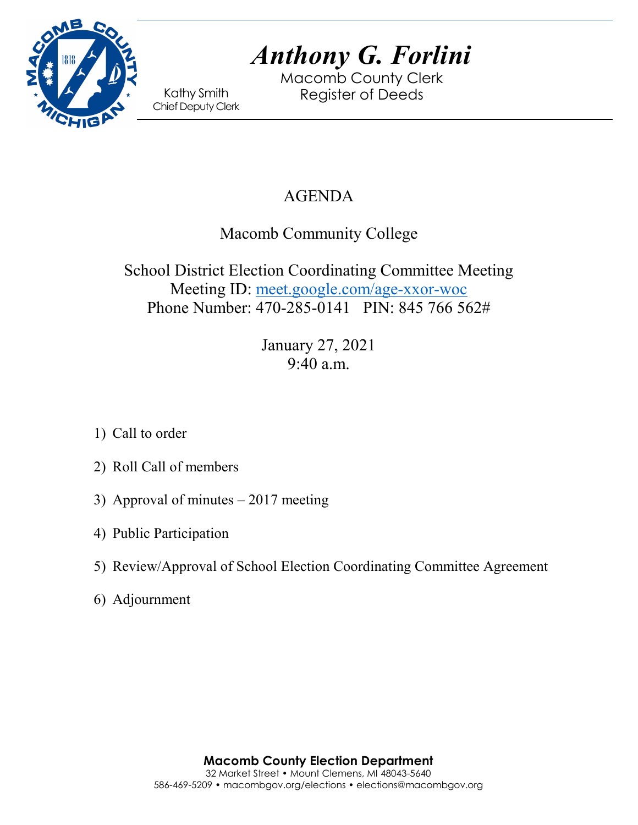

Macomb County Clerk Kathy Smith Register of Deeds<br>Chief Deputy Clerk

## AGENDA

Macomb Community College

School District Election Coordinating Committee Meeting Meeting ID: [meet.google.com/age-xxor-woc](https://meet.google.com/age-xxor-woc?hs=122&authuser=0) Phone Number: 470-285-0141 PIN: 845 766 562#

> January 27, 2021 9:40 a.m.

- 1) Call to order
- 2) Roll Call of members
- 3) Approval of minutes 2017 meeting
- 4) Public Participation
- 5) Review/Approval of School Election Coordinating Committee Agreement
- 6) Adjournment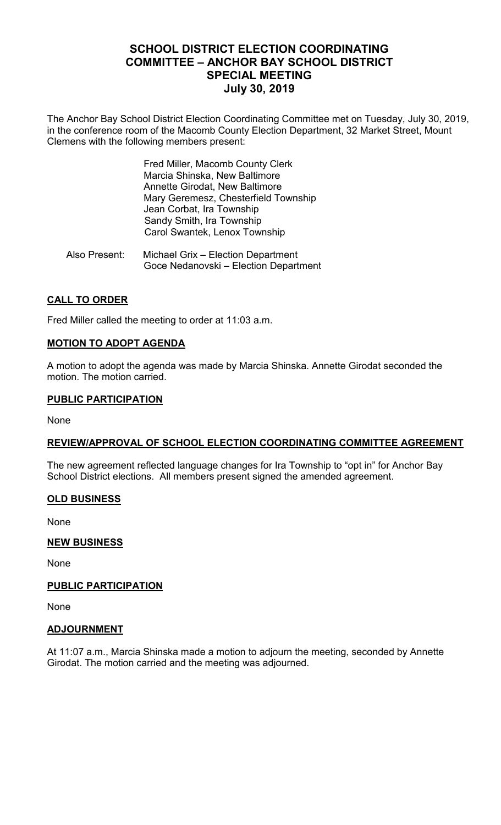### **SCHOOL DISTRICT ELECTION COORDINATING COMMITTEE – ANCHOR BAY SCHOOL DISTRICT SPECIAL MEETING July 30, 2019**

The Anchor Bay School District Election Coordinating Committee met on Tuesday, July 30, 2019, in the conference room of the Macomb County Election Department, 32 Market Street, Mount Clemens with the following members present:

> Fred Miller, Macomb County Clerk Marcia Shinska, New Baltimore Annette Girodat, New Baltimore Mary Geremesz, Chesterfield Township Jean Corbat, Ira Township Sandy Smith, Ira Township Carol Swantek, Lenox Township

 Also Present: Michael Grix – Election Department Goce Nedanovski – Election Department

#### **CALL TO ORDER**

Fred Miller called the meeting to order at 11:03 a.m.

#### **MOTION TO ADOPT AGENDA**

A motion to adopt the agenda was made by Marcia Shinska. Annette Girodat seconded the motion. The motion carried.

#### **PUBLIC PARTICIPATION**

None

#### **REVIEW/APPROVAL OF SCHOOL ELECTION COORDINATING COMMITTEE AGREEMENT**

The new agreement reflected language changes for Ira Township to "opt in" for Anchor Bay School District elections. All members present signed the amended agreement.

#### **OLD BUSINESS**

None

#### **NEW BUSINESS**

None

#### **PUBLIC PARTICIPATION**

None

#### **ADJOURNMENT**

At 11:07 a.m., Marcia Shinska made a motion to adjourn the meeting, seconded by Annette Girodat. The motion carried and the meeting was adjourned.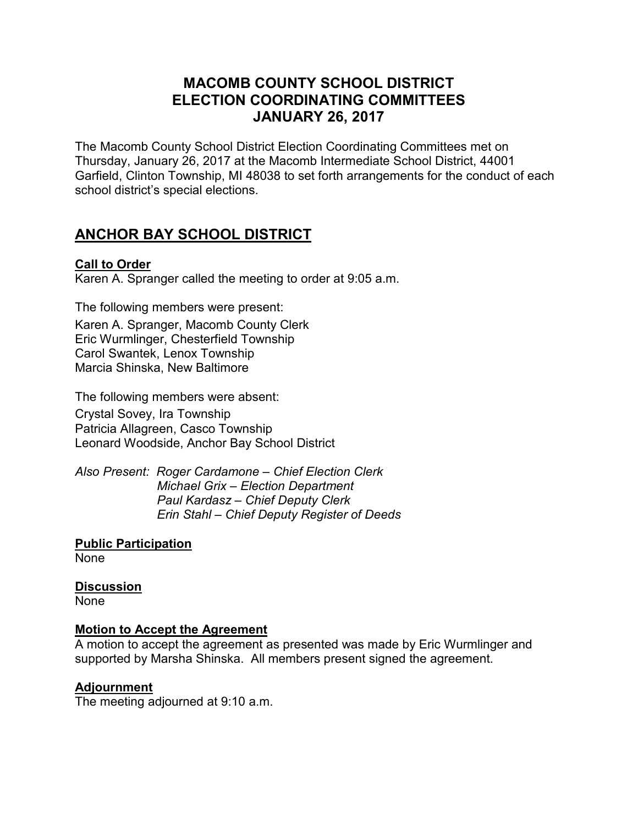### **MACOMB COUNTY SCHOOL DISTRICT ELECTION COORDINATING COMMITTEES JANUARY 26, 2017**

The Macomb County School District Election Coordinating Committees met on Thursday, January 26, 2017 at the Macomb Intermediate School District, 44001 Garfield, Clinton Township, MI 48038 to set forth arrangements for the conduct of each school district's special elections.

## **ANCHOR BAY SCHOOL DISTRICT**

#### **Call to Order**

Karen A. Spranger called the meeting to order at 9:05 a.m.

The following members were present: Karen A. Spranger, Macomb County Clerk Eric Wurmlinger, Chesterfield Township Carol Swantek, Lenox Township Marcia Shinska, New Baltimore

The following members were absent:

Crystal Sovey, Ira Township Patricia Allagreen, Casco Township Leonard Woodside, Anchor Bay School District

*Also Present: Roger Cardamone – Chief Election Clerk Michael Grix – Election Department Paul Kardasz – Chief Deputy Clerk Erin Stahl – Chief Deputy Register of Deeds*

**Public Participation** None

#### **Discussion**

**None** 

#### **Motion to Accept the Agreement**

A motion to accept the agreement as presented was made by Eric Wurmlinger and supported by Marsha Shinska. All members present signed the agreement.

#### **Adjournment**

The meeting adjourned at 9:10 a.m.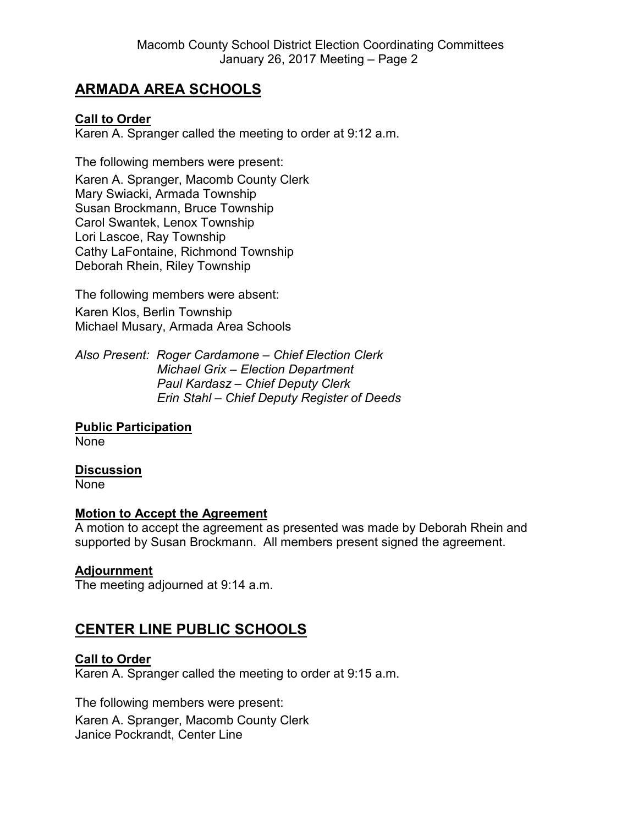### **ARMADA AREA SCHOOLS**

#### **Call to Order**

Karen A. Spranger called the meeting to order at 9:12 a.m.

The following members were present:

Karen A. Spranger, Macomb County Clerk Mary Swiacki, Armada Township Susan Brockmann, Bruce Township Carol Swantek, Lenox Township Lori Lascoe, Ray Township Cathy LaFontaine, Richmond Township Deborah Rhein, Riley Township

The following members were absent: Karen Klos, Berlin Township Michael Musary, Armada Area Schools

*Also Present: Roger Cardamone – Chief Election Clerk Michael Grix – Election Department Paul Kardasz – Chief Deputy Clerk Erin Stahl – Chief Deputy Register of Deeds*

**Public Participation** None

#### **Discussion**

None

#### **Motion to Accept the Agreement**

A motion to accept the agreement as presented was made by Deborah Rhein and supported by Susan Brockmann. All members present signed the agreement.

#### **Adjournment**

The meeting adjourned at 9:14 a.m.

### **CENTER LINE PUBLIC SCHOOLS**

#### **Call to Order**

Karen A. Spranger called the meeting to order at 9:15 a.m.

The following members were present: Karen A. Spranger, Macomb County Clerk Janice Pockrandt, Center Line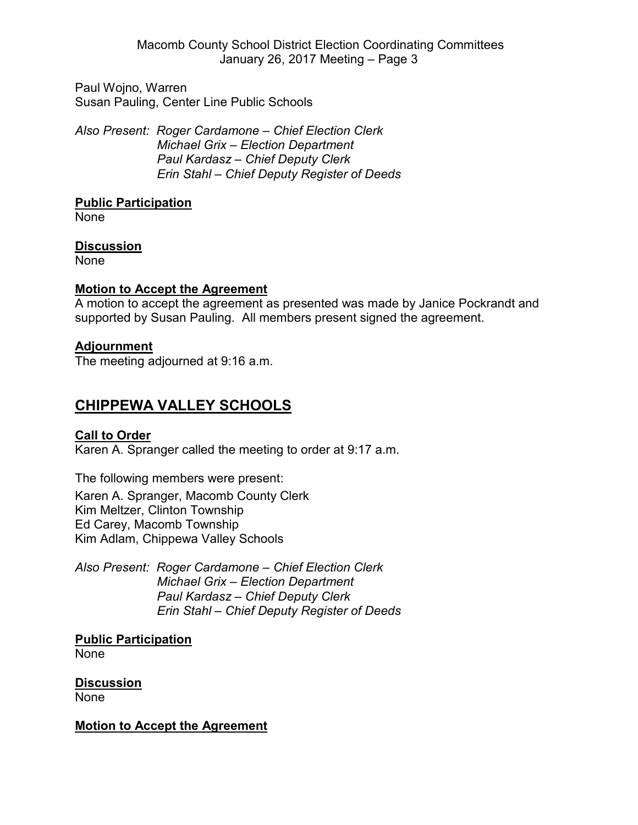Paul Wojno, Warren Susan Pauling, Center Line Public Schools

*Also Present: Roger Cardamone – Chief Election Clerk Michael Grix – Election Department Paul Kardasz – Chief Deputy Clerk Erin Stahl – Chief Deputy Register of Deeds*

#### **Public Participation**

None

#### **Discussion**

None

#### **Motion to Accept the Agreement**

A motion to accept the agreement as presented was made by Janice Pockrandt and supported by Susan Pauling. All members present signed the agreement.

#### **Adjournment**

The meeting adjourned at 9:16 a.m.

## **CHIPPEWA VALLEY SCHOOLS**

#### **Call to Order**

Karen A. Spranger called the meeting to order at 9:17 a.m.

The following members were present: Karen A. Spranger, Macomb County Clerk Kim Meltzer, Clinton Township Ed Carey, Macomb Township Kim Adlam, Chippewa Valley Schools

*Also Present: Roger Cardamone – Chief Election Clerk Michael Grix – Election Department Paul Kardasz – Chief Deputy Clerk Erin Stahl – Chief Deputy Register of Deeds*

**Public Participation** None

**Discussion** None

#### **Motion to Accept the Agreement**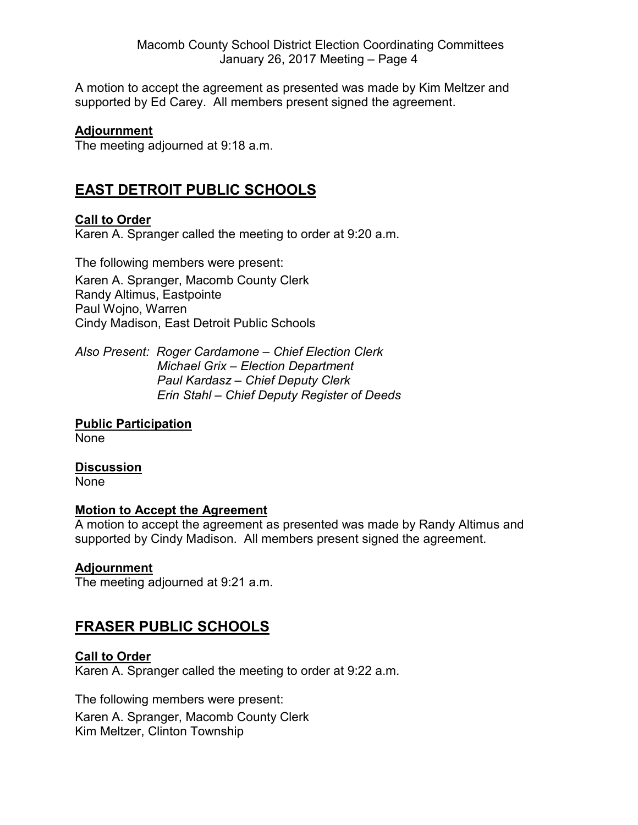A motion to accept the agreement as presented was made by Kim Meltzer and supported by Ed Carey. All members present signed the agreement.

#### **Adjournment**

The meeting adjourned at 9:18 a.m.

### **EAST DETROIT PUBLIC SCHOOLS**

#### **Call to Order**

Karen A. Spranger called the meeting to order at 9:20 a.m.

The following members were present: Karen A. Spranger, Macomb County Clerk Randy Altimus, Eastpointe Paul Wojno, Warren Cindy Madison, East Detroit Public Schools

*Also Present: Roger Cardamone – Chief Election Clerk Michael Grix – Election Department Paul Kardasz – Chief Deputy Clerk Erin Stahl – Chief Deputy Register of Deeds*

# **Public Participation**

None

#### **Discussion**

None

#### **Motion to Accept the Agreement**

A motion to accept the agreement as presented was made by Randy Altimus and supported by Cindy Madison. All members present signed the agreement.

#### **Adjournment**

The meeting adjourned at 9:21 a.m.

### **FRASER PUBLIC SCHOOLS**

#### **Call to Order**

Karen A. Spranger called the meeting to order at 9:22 a.m.

The following members were present: Karen A. Spranger, Macomb County Clerk Kim Meltzer, Clinton Township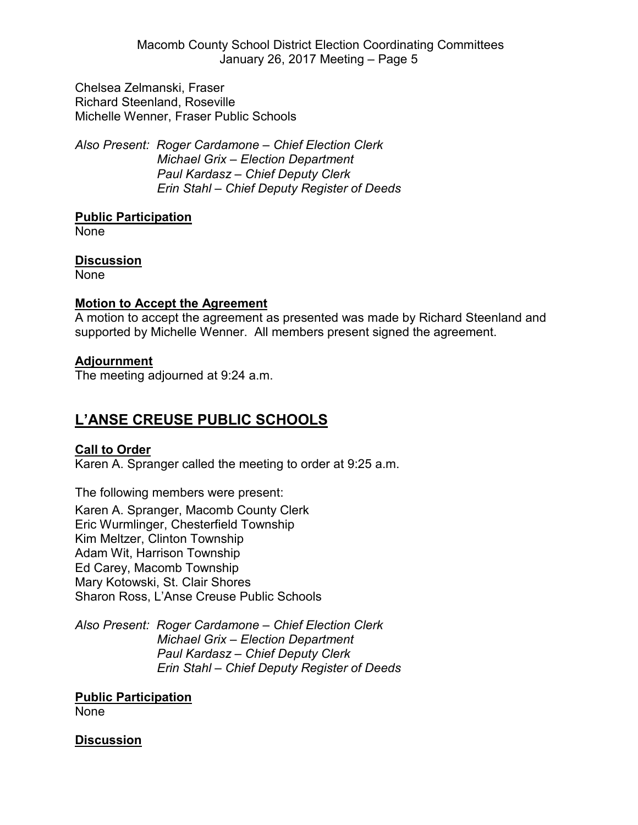Macomb County School District Election Coordinating Committees January 26, 2017 Meeting – Page 5

Chelsea Zelmanski, Fraser Richard Steenland, Roseville Michelle Wenner, Fraser Public Schools

*Also Present: Roger Cardamone – Chief Election Clerk Michael Grix – Election Department Paul Kardasz – Chief Deputy Clerk Erin Stahl – Chief Deputy Register of Deeds*

#### **Public Participation**

None

#### **Discussion**

None

#### **Motion to Accept the Agreement**

A motion to accept the agreement as presented was made by Richard Steenland and supported by Michelle Wenner. All members present signed the agreement.

#### **Adjournment**

The meeting adjourned at 9:24 a.m.

### **L'ANSE CREUSE PUBLIC SCHOOLS**

#### **Call to Order**

Karen A. Spranger called the meeting to order at 9:25 a.m.

The following members were present:

Karen A. Spranger, Macomb County Clerk Eric Wurmlinger, Chesterfield Township Kim Meltzer, Clinton Township Adam Wit, Harrison Township Ed Carey, Macomb Township Mary Kotowski, St. Clair Shores Sharon Ross, L'Anse Creuse Public Schools

*Also Present: Roger Cardamone – Chief Election Clerk Michael Grix – Election Department Paul Kardasz – Chief Deputy Clerk Erin Stahl – Chief Deputy Register of Deeds*

**Public Participation** None

#### **Discussion**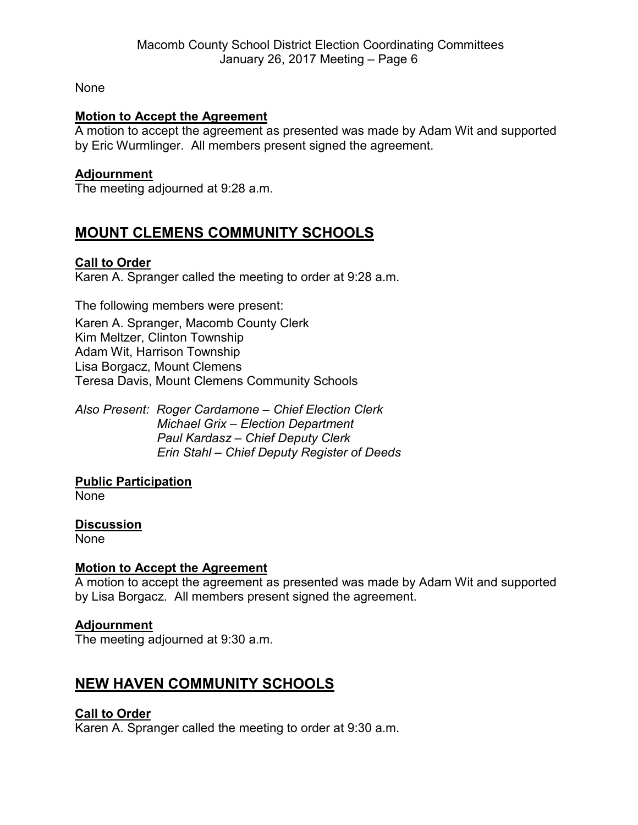None

#### **Motion to Accept the Agreement**

A motion to accept the agreement as presented was made by Adam Wit and supported by Eric Wurmlinger. All members present signed the agreement.

#### **Adjournment**

The meeting adjourned at 9:28 a.m.

### **MOUNT CLEMENS COMMUNITY SCHOOLS**

#### **Call to Order**

Karen A. Spranger called the meeting to order at 9:28 a.m.

The following members were present: Karen A. Spranger, Macomb County Clerk Kim Meltzer, Clinton Township Adam Wit, Harrison Township Lisa Borgacz, Mount Clemens Teresa Davis, Mount Clemens Community Schools

*Also Present: Roger Cardamone – Chief Election Clerk Michael Grix – Election Department Paul Kardasz – Chief Deputy Clerk Erin Stahl – Chief Deputy Register of Deeds*

### **Public Participation**

None

#### **Discussion**

None

#### **Motion to Accept the Agreement**

A motion to accept the agreement as presented was made by Adam Wit and supported by Lisa Borgacz. All members present signed the agreement.

#### **Adjournment**

The meeting adjourned at 9:30 a.m.

### **NEW HAVEN COMMUNITY SCHOOLS**

#### **Call to Order**

Karen A. Spranger called the meeting to order at 9:30 a.m.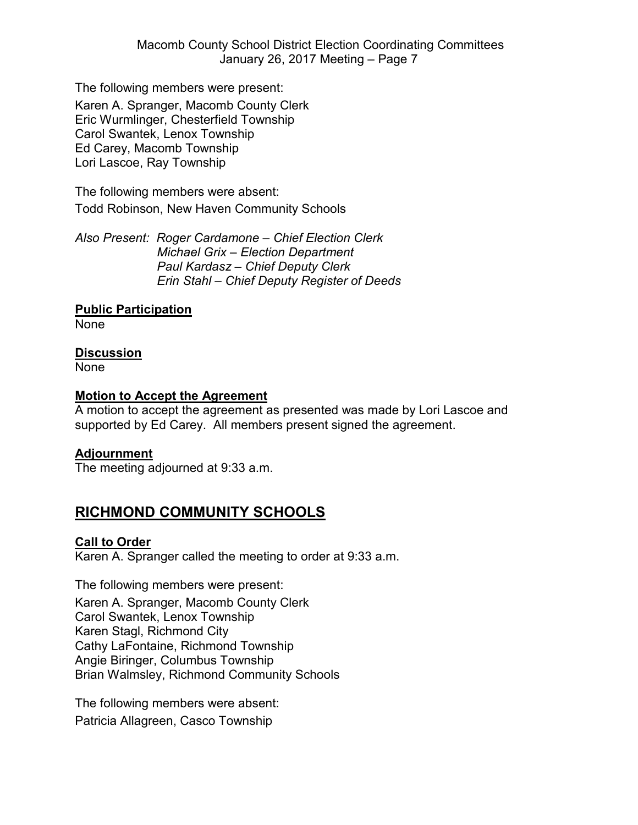The following members were present: Karen A. Spranger, Macomb County Clerk Eric Wurmlinger, Chesterfield Township Carol Swantek, Lenox Township Ed Carey, Macomb Township Lori Lascoe, Ray Township

The following members were absent: Todd Robinson, New Haven Community Schools

*Also Present: Roger Cardamone – Chief Election Clerk Michael Grix – Election Department Paul Kardasz – Chief Deputy Clerk Erin Stahl – Chief Deputy Register of Deeds*

#### **Public Participation**

None

#### **Discussion**

None

#### **Motion to Accept the Agreement**

A motion to accept the agreement as presented was made by Lori Lascoe and supported by Ed Carey. All members present signed the agreement.

#### **Adjournment**

The meeting adjourned at 9:33 a.m.

### **RICHMOND COMMUNITY SCHOOLS**

#### **Call to Order**

Karen A. Spranger called the meeting to order at 9:33 a.m.

The following members were present: Karen A. Spranger, Macomb County Clerk Carol Swantek, Lenox Township Karen Stagl, Richmond City Cathy LaFontaine, Richmond Township Angie Biringer, Columbus Township Brian Walmsley, Richmond Community Schools

The following members were absent: Patricia Allagreen, Casco Township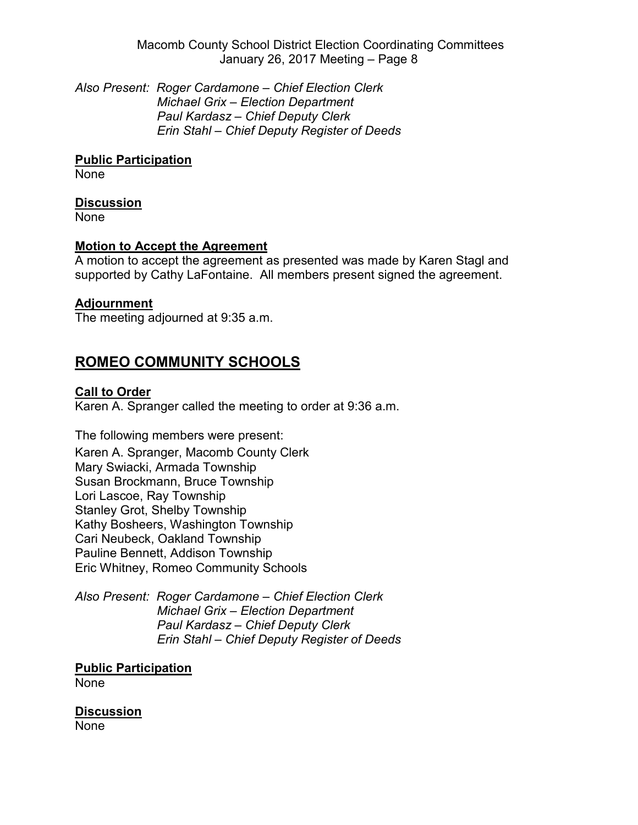Macomb County School District Election Coordinating Committees January 26, 2017 Meeting – Page 8

*Also Present: Roger Cardamone – Chief Election Clerk Michael Grix – Election Department Paul Kardasz – Chief Deputy Clerk Erin Stahl – Chief Deputy Register of Deeds*

**Public Participation**

None

#### **Discussion**

None

#### **Motion to Accept the Agreement**

A motion to accept the agreement as presented was made by Karen Stagl and supported by Cathy LaFontaine. All members present signed the agreement.

#### **Adjournment**

The meeting adjourned at 9:35 a.m.

### **ROMEO COMMUNITY SCHOOLS**

#### **Call to Order**

Karen A. Spranger called the meeting to order at 9:36 a.m.

The following members were present: Karen A. Spranger, Macomb County Clerk Mary Swiacki, Armada Township Susan Brockmann, Bruce Township Lori Lascoe, Ray Township Stanley Grot, Shelby Township Kathy Bosheers, Washington Township Cari Neubeck, Oakland Township Pauline Bennett, Addison Township Eric Whitney, Romeo Community Schools

*Also Present: Roger Cardamone – Chief Election Clerk Michael Grix – Election Department Paul Kardasz – Chief Deputy Clerk Erin Stahl – Chief Deputy Register of Deeds*

**Public Participation**

None

**Discussion** None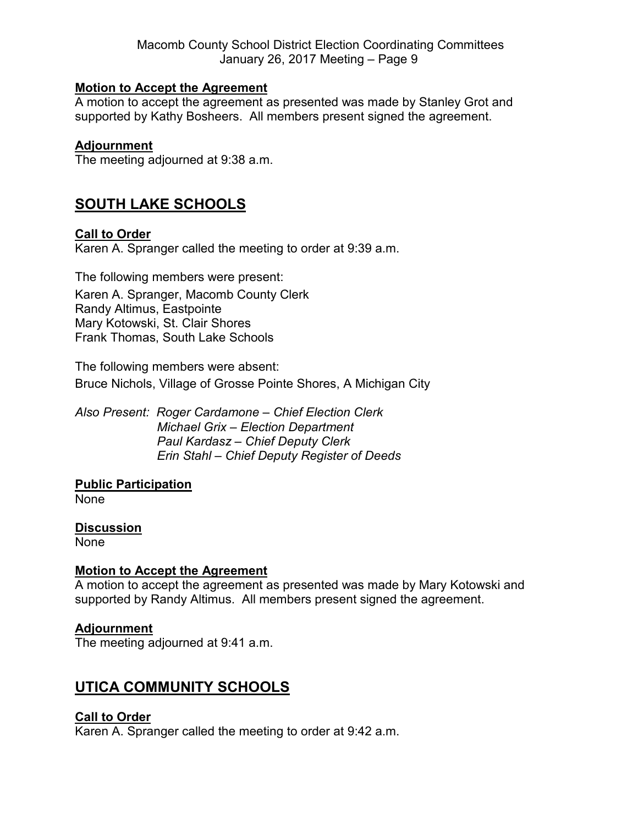#### **Motion to Accept the Agreement**

A motion to accept the agreement as presented was made by Stanley Grot and supported by Kathy Bosheers. All members present signed the agreement.

#### **Adjournment**

The meeting adjourned at 9:38 a.m.

### **SOUTH LAKE SCHOOLS**

#### **Call to Order**

Karen A. Spranger called the meeting to order at 9:39 a.m.

The following members were present: Karen A. Spranger, Macomb County Clerk Randy Altimus, Eastpointe Mary Kotowski, St. Clair Shores Frank Thomas, South Lake Schools

The following members were absent: Bruce Nichols, Village of Grosse Pointe Shores, A Michigan City

*Also Present: Roger Cardamone – Chief Election Clerk Michael Grix – Election Department Paul Kardasz – Chief Deputy Clerk Erin Stahl – Chief Deputy Register of Deeds*

#### **Public Participation**

None

#### **Discussion**

None

#### **Motion to Accept the Agreement**

A motion to accept the agreement as presented was made by Mary Kotowski and supported by Randy Altimus. All members present signed the agreement.

#### **Adjournment**

The meeting adjourned at 9:41 a.m.

### **UTICA COMMUNITY SCHOOLS**

#### **Call to Order**

Karen A. Spranger called the meeting to order at 9:42 a.m.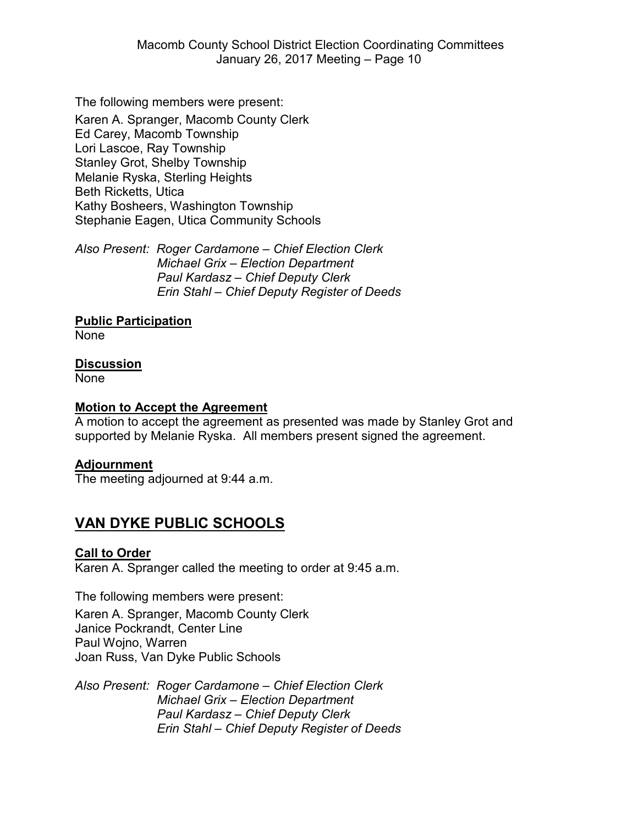The following members were present:

Karen A. Spranger, Macomb County Clerk Ed Carey, Macomb Township Lori Lascoe, Ray Township Stanley Grot, Shelby Township Melanie Ryska, Sterling Heights Beth Ricketts, Utica Kathy Bosheers, Washington Township Stephanie Eagen, Utica Community Schools

*Also Present: Roger Cardamone – Chief Election Clerk Michael Grix – Election Department Paul Kardasz – Chief Deputy Clerk Erin Stahl – Chief Deputy Register of Deeds*

#### **Public Participation**

None

#### **Discussion**

None

#### **Motion to Accept the Agreement**

A motion to accept the agreement as presented was made by Stanley Grot and supported by Melanie Ryska. All members present signed the agreement.

#### **Adjournment**

The meeting adjourned at 9:44 a.m.

### **VAN DYKE PUBLIC SCHOOLS**

#### **Call to Order**

Karen A. Spranger called the meeting to order at 9:45 a.m.

The following members were present: Karen A. Spranger, Macomb County Clerk Janice Pockrandt, Center Line Paul Wojno, Warren Joan Russ, Van Dyke Public Schools

*Also Present: Roger Cardamone – Chief Election Clerk Michael Grix – Election Department Paul Kardasz – Chief Deputy Clerk Erin Stahl – Chief Deputy Register of Deeds*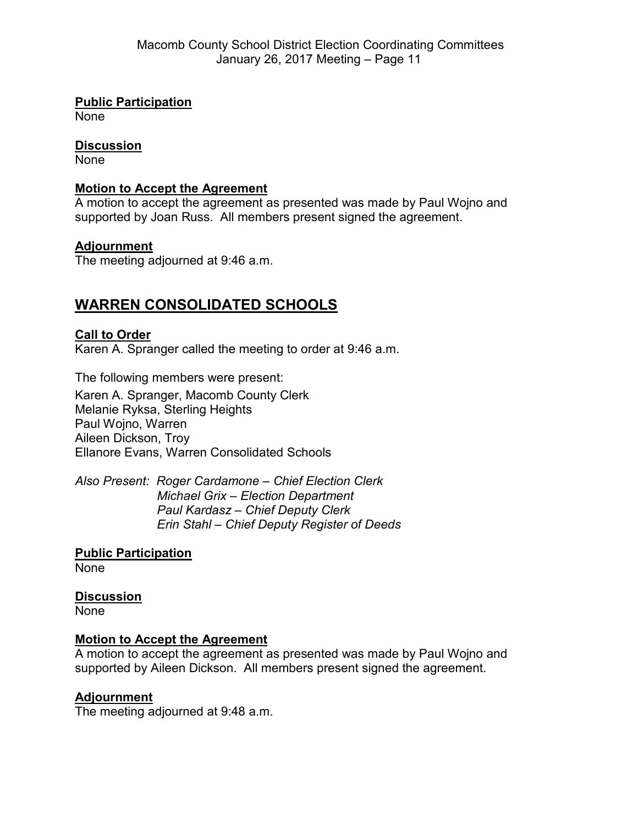**Public Participation**

None

#### **Discussion**

None

#### **Motion to Accept the Agreement**

A motion to accept the agreement as presented was made by Paul Wojno and supported by Joan Russ. All members present signed the agreement.

#### **Adjournment**

The meeting adjourned at 9:46 a.m.

## **WARREN CONSOLIDATED SCHOOLS**

### **Call to Order**

Karen A. Spranger called the meeting to order at 9:46 a.m.

The following members were present: Karen A. Spranger, Macomb County Clerk Melanie Ryksa, Sterling Heights Paul Wojno, Warren Aileen Dickson, Troy Ellanore Evans, Warren Consolidated Schools

*Also Present: Roger Cardamone – Chief Election Clerk Michael Grix – Election Department Paul Kardasz – Chief Deputy Clerk Erin Stahl – Chief Deputy Register of Deeds*

**Public Participation** None

**Discussion** None

#### **Motion to Accept the Agreement**

A motion to accept the agreement as presented was made by Paul Wojno and supported by Aileen Dickson. All members present signed the agreement.

#### **Adjournment**

The meeting adjourned at 9:48 a.m.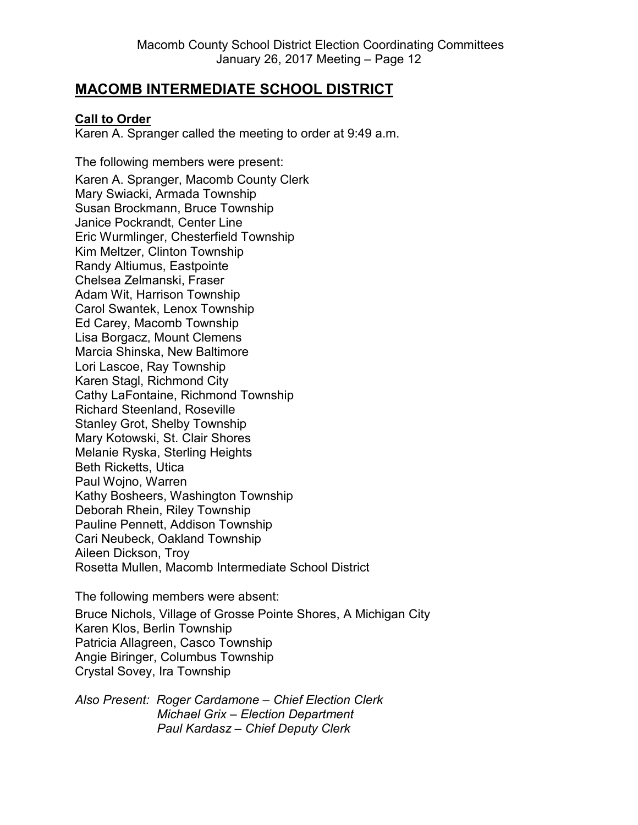### **MACOMB INTERMEDIATE SCHOOL DISTRICT**

#### **Call to Order**

Karen A. Spranger called the meeting to order at 9:49 a.m.

The following members were present: Karen A. Spranger, Macomb County Clerk Mary Swiacki, Armada Township Susan Brockmann, Bruce Township Janice Pockrandt, Center Line Eric Wurmlinger, Chesterfield Township Kim Meltzer, Clinton Township Randy Altiumus, Eastpointe Chelsea Zelmanski, Fraser Adam Wit, Harrison Township Carol Swantek, Lenox Township Ed Carey, Macomb Township Lisa Borgacz, Mount Clemens Marcia Shinska, New Baltimore Lori Lascoe, Ray Township Karen Stagl, Richmond City Cathy LaFontaine, Richmond Township Richard Steenland, Roseville Stanley Grot, Shelby Township Mary Kotowski, St. Clair Shores Melanie Ryska, Sterling Heights Beth Ricketts, Utica Paul Wojno, Warren Kathy Bosheers, Washington Township Deborah Rhein, Riley Township Pauline Pennett, Addison Township Cari Neubeck, Oakland Township Aileen Dickson, Troy Rosetta Mullen, Macomb Intermediate School District

The following members were absent: Bruce Nichols, Village of Grosse Pointe Shores, A Michigan City Karen Klos, Berlin Township Patricia Allagreen, Casco Township Angie Biringer, Columbus Township Crystal Sovey, Ira Township

*Also Present: Roger Cardamone – Chief Election Clerk Michael Grix – Election Department Paul Kardasz – Chief Deputy Clerk*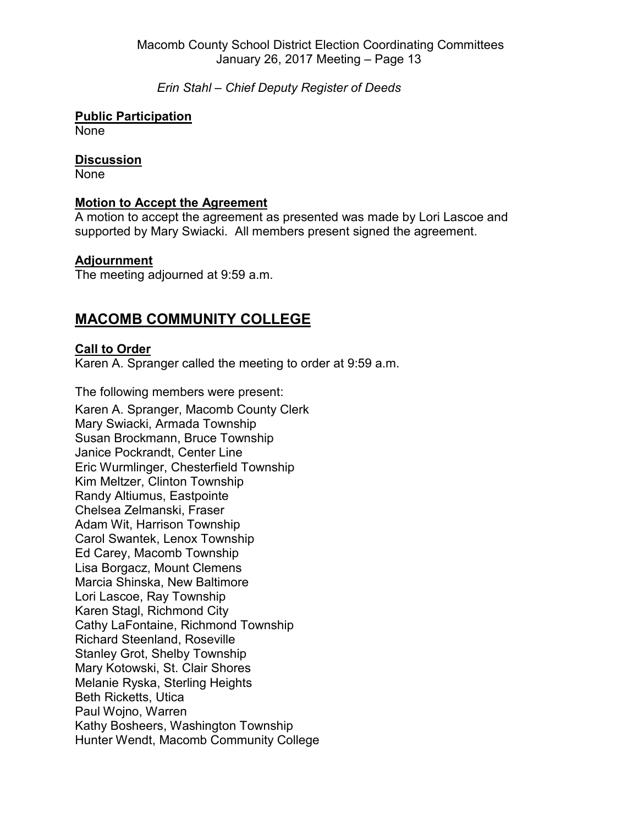#### *Erin Stahl – Chief Deputy Register of Deeds*

#### **Public Participation**

None

#### **Discussion**

None

#### **Motion to Accept the Agreement**

A motion to accept the agreement as presented was made by Lori Lascoe and supported by Mary Swiacki. All members present signed the agreement.

#### **Adjournment**

The meeting adjourned at 9:59 a.m.

### **MACOMB COMMUNITY COLLEGE**

#### **Call to Order**

Karen A. Spranger called the meeting to order at 9:59 a.m.

The following members were present:

Karen A. Spranger, Macomb County Clerk Mary Swiacki, Armada Township Susan Brockmann, Bruce Township Janice Pockrandt, Center Line Eric Wurmlinger, Chesterfield Township Kim Meltzer, Clinton Township Randy Altiumus, Eastpointe Chelsea Zelmanski, Fraser Adam Wit, Harrison Township Carol Swantek, Lenox Township Ed Carey, Macomb Township Lisa Borgacz, Mount Clemens Marcia Shinska, New Baltimore Lori Lascoe, Ray Township Karen Stagl, Richmond City Cathy LaFontaine, Richmond Township Richard Steenland, Roseville Stanley Grot, Shelby Township Mary Kotowski, St. Clair Shores Melanie Ryska, Sterling Heights Beth Ricketts, Utica Paul Wojno, Warren Kathy Bosheers, Washington Township Hunter Wendt, Macomb Community College